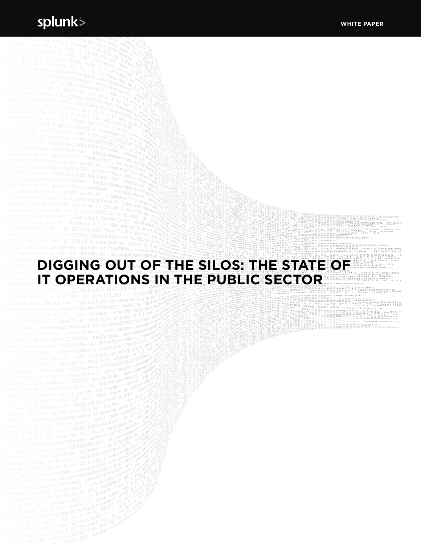# **DIGGING OUT OF THE SILOS: THE STATE OF IT OPERATIONS IN THE PUBLIC SECTOR**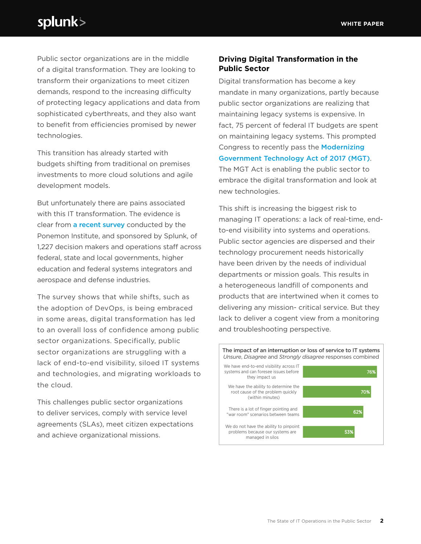# splunk>

Public sector organizations are in the middle of a digital transformation. They are looking to transform their organizations to meet citizen demands, respond to the increasing difficulty of protecting legacy applications and data from sophisticated cyberthreats, and they also want to benefit from efficiencies promised by newer technologies.

This transition has already started with budgets shifting from traditional on premises investments to more cloud solutions and agile development models.

But unfortunately there are pains associated with this IT transformation. The evidence is clear from [a recent survey](https://www.splunk.com/en_us/resources/public-sector/ponemon-research.html) conducted by the Ponemon Institute, and sponsored by Splunk, of 1,227 decision makers and operations staff across federal, state and local governments, higher education and federal systems integrators and aerospace and defense industries.

The survey shows that while shifts, such as the adoption of DevOps, is being embraced in some areas, digital transformation has led to an overall loss of confidence among public sector organizations. Specifically, public sector organizations are struggling with a lack of end-to-end visibility, siloed IT systems and technologies, and migrating workloads to the cloud.

This challenges public sector organizations to deliver services, comply with service level agreements (SLAs), meet citizen expectations and achieve organizational missions.

### **Driving Digital Transformation in the Public Sector**

Digital transformation has become a key mandate in many organizations, partly because public sector organizations are realizing that maintaining legacy systems is expensive. In fact, 75 percent of federal IT budgets are spent on maintaining legacy systems. This prompted Congress to recently pass the [Modernizing](https://www.congress.gov/bill/115th-congress/house-bill/2227)  [Government Technology Act of 2017 \(MGT\)](https://www.congress.gov/bill/115th-congress/house-bill/2227). The MGT Act is enabling the public sector to embrace the digital transformation and look at new technologies.

This shift is increasing the biggest risk to managing IT operations: a lack of real-time, endto-end visibility into systems and operations. Public sector agencies are dispersed and their technology procurement needs historically have been driven by the needs of individual departments or mission goals. This results in a heterogeneous landfill of components and products that are intertwined when it comes to delivering any mission- critical service. But they lack to deliver a cogent view from a monitoring and troubleshooting perspective.

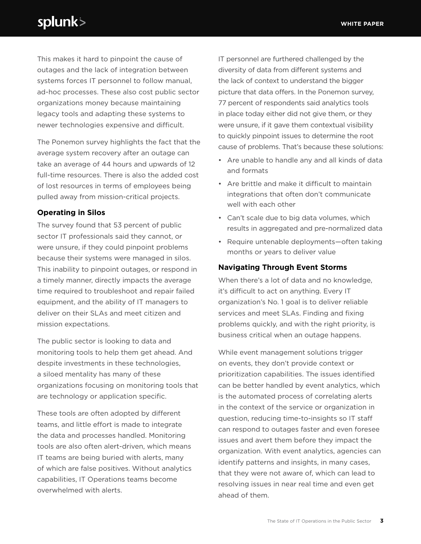# splunk>

This makes it hard to pinpoint the cause of outages and the lack of integration between systems forces IT personnel to follow manual, ad-hoc processes. These also cost public sector organizations money because maintaining legacy tools and adapting these systems to newer technologies expensive and difficult.

The Ponemon survey highlights the fact that the average system recovery after an outage can take an average of 44 hours and upwards of 12 full-time resources. There is also the added cost of lost resources in terms of employees being pulled away from mission-critical projects.

### **Operating in Silos**

The survey found that 53 percent of public sector IT professionals said they cannot, or were unsure, if they could pinpoint problems because their systems were managed in silos. This inability to pinpoint outages, or respond in a timely manner, directly impacts the average time required to troubleshoot and repair failed equipment, and the ability of IT managers to deliver on their SLAs and meet citizen and mission expectations.

The public sector is looking to data and monitoring tools to help them get ahead. And despite investments in these technologies, a siloed mentality has many of these organizations focusing on monitoring tools that are technology or application specific.

These tools are often adopted by different teams, and little effort is made to integrate the data and processes handled. Monitoring tools are also often alert-driven, which means IT teams are being buried with alerts, many of which are false positives. Without analytics capabilities, IT Operations teams become overwhelmed with alerts.

IT personnel are furthered challenged by the diversity of data from different systems and the lack of context to understand the bigger picture that data offers. In the Ponemon survey, 77 percent of respondents said analytics tools in place today either did not give them, or they were unsure, if it gave them contextual visibility to quickly pinpoint issues to determine the root cause of problems. That's because these solutions:

- Are unable to handle any and all kinds of data and formats
- Are brittle and make it difficult to maintain integrations that often don't communicate well with each other
- Can't scale due to big data volumes, which results in aggregated and pre-normalized data
- Require untenable deployments—often taking months or years to deliver value

### **Navigating Through Event Storms**

When there's a lot of data and no knowledge, it's difficult to act on anything. Every IT organization's No. 1 goal is to deliver reliable services and meet SLAs. Finding and fixing problems quickly, and with the right priority, is business critical when an outage happens.

While event management solutions trigger on events, they don't provide context or prioritization capabilities. The issues identified can be better handled by event analytics, which is the automated process of correlating alerts in the context of the service or organization in question, reducing time-to-insights so IT staff can respond to outages faster and even foresee issues and avert them before they impact the organization. With event analytics, agencies can identify patterns and insights, in many cases, that they were not aware of, which can lead to resolving issues in near real time and even get ahead of them.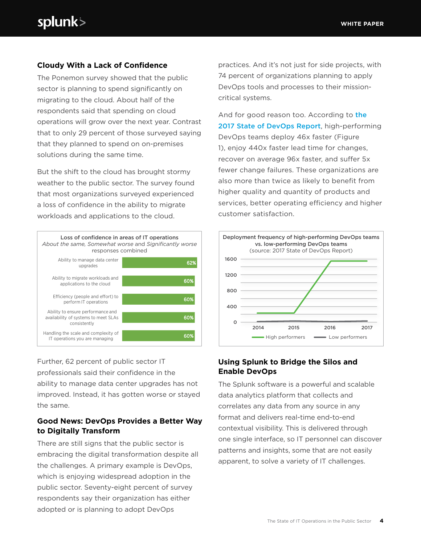# **Cloudy With a Lack of Confidence**

The Ponemon survey showed that the public sector is planning to spend significantly on migrating to the cloud. About half of the respondents said that spending on cloud operations will grow over the next year. Contrast that to only 29 percent of those surveyed saying that they planned to spend on on-premises solutions during the same time.

But the shift to the cloud has brought stormy weather to the public sector. The survey found that most organizations surveyed experienced a loss of confidence in the ability to migrate workloads and applications to the cloud.



Further, 62 percent of public sector IT professionals said their confidence in the ability to manage data center upgrades has not improved. Instead, it has gotten worse or stayed the same.

# **Good News: DevOps Provides a Better Way to Digitally Transform**

There are still signs that the public sector is embracing the digital transformation despite all the challenges. A primary example is DevOps, which is enjoying widespread adoption in the public sector. Seventy-eight percent of survey respondents say their organization has either adopted or is planning to adopt DevOps

practices. And it's not just for side projects, with 74 percent of organizations planning to apply DevOps tools and processes to their missioncritical systems.

And for good reason too. According to the [2017 State of DevOps Report](https://www.splunk.com/en_us/form/driving-devops-success-with-data.html), high-performing DevOps teams deploy 46x faster (Figure 1), enjoy 440x faster lead time for changes, recover on average 96x faster, and suffer 5x fewer change failures. These organizations are also more than twice as likely to benefit from higher quality and quantity of products and services, better operating efficiency and higher customer satisfaction.



# **Using Splunk to Bridge the Silos and Enable DevOps**

The Splunk software is a powerful and scalable data analytics platform that collects and correlates any data from any source in any format and delivers real-time end-to-end contextual visibility. This is delivered through one single interface, so IT personnel can discover patterns and insights, some that are not easily apparent, to solve a variety of IT challenges.